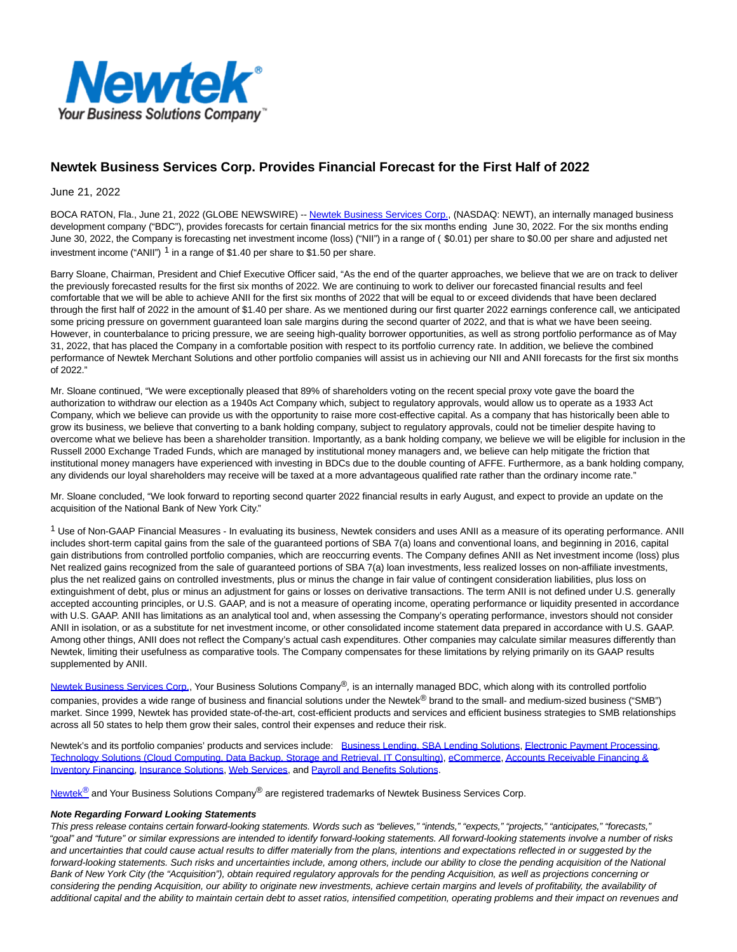

## **Newtek Business Services Corp. Provides Financial Forecast for the First Half of 2022**

June 21, 2022

BOCA RATON, Fla., June 21, 2022 (GLOBE NEWSWIRE) -[- Newtek Business Services Corp.,](https://www.globenewswire.com/Tracker?data=HWyXCrR_e4ni80n2gd5-8CaOhizT3zKvDb1qWktliU3QfkvPznyX-LpyT4y4X3wbMPZRwqXdsQ8ydzy9aWumsjp0X69Rxx77smebz0nQOKY=) (NASDAQ: NEWT), an internally managed business development company ("BDC"), provides forecasts for certain financial metrics for the six months ending June 30, 2022. For the six months ending June 30, 2022, the Company is forecasting net investment income (loss) ("NII") in a range of ( \$0.01) per share to \$0.00 per share and adjusted net investment income ("ANII")  $1$  in a range of \$1.40 per share to \$1.50 per share.

Barry Sloane, Chairman, President and Chief Executive Officer said, "As the end of the quarter approaches, we believe that we are on track to deliver the previously forecasted results for the first six months of 2022. We are continuing to work to deliver our forecasted financial results and feel comfortable that we will be able to achieve ANII for the first six months of 2022 that will be equal to or exceed dividends that have been declared through the first half of 2022 in the amount of \$1.40 per share. As we mentioned during our first quarter 2022 earnings conference call, we anticipated some pricing pressure on government guaranteed loan sale margins during the second quarter of 2022, and that is what we have been seeing. However, in counterbalance to pricing pressure, we are seeing high-quality borrower opportunities, as well as strong portfolio performance as of May 31, 2022, that has placed the Company in a comfortable position with respect to its portfolio currency rate. In addition, we believe the combined performance of Newtek Merchant Solutions and other portfolio companies will assist us in achieving our NII and ANII forecasts for the first six months of 2022."

Mr. Sloane continued, "We were exceptionally pleased that 89% of shareholders voting on the recent special proxy vote gave the board the authorization to withdraw our election as a 1940s Act Company which, subject to regulatory approvals, would allow us to operate as a 1933 Act Company, which we believe can provide us with the opportunity to raise more cost-effective capital. As a company that has historically been able to grow its business, we believe that converting to a bank holding company, subject to regulatory approvals, could not be timelier despite having to overcome what we believe has been a shareholder transition. Importantly, as a bank holding company, we believe we will be eligible for inclusion in the Russell 2000 Exchange Traded Funds, which are managed by institutional money managers and, we believe can help mitigate the friction that institutional money managers have experienced with investing in BDCs due to the double counting of AFFE. Furthermore, as a bank holding company, any dividends our loyal shareholders may receive will be taxed at a more advantageous qualified rate rather than the ordinary income rate."

Mr. Sloane concluded, "We look forward to reporting second quarter 2022 financial results in early August, and expect to provide an update on the acquisition of the National Bank of New York City."

 $1$  Use of Non-GAAP Financial Measures - In evaluating its business, Newtek considers and uses ANII as a measure of its operating performance. ANII includes short-term capital gains from the sale of the guaranteed portions of SBA 7(a) loans and conventional loans, and beginning in 2016, capital gain distributions from controlled portfolio companies, which are reoccurring events. The Company defines ANII as Net investment income (loss) plus Net realized gains recognized from the sale of guaranteed portions of SBA 7(a) loan investments, less realized losses on non-affiliate investments, plus the net realized gains on controlled investments, plus or minus the change in fair value of contingent consideration liabilities, plus loss on extinguishment of debt, plus or minus an adjustment for gains or losses on derivative transactions. The term ANII is not defined under U.S. generally accepted accounting principles, or U.S. GAAP, and is not a measure of operating income, operating performance or liquidity presented in accordance with U.S. GAAP. ANII has limitations as an analytical tool and, when assessing the Company's operating performance, investors should not consider ANII in isolation, or as a substitute for net investment income, or other consolidated income statement data prepared in accordance with U.S. GAAP. Among other things, ANII does not reflect the Company's actual cash expenditures. Other companies may calculate similar measures differently than Newtek, limiting their usefulness as comparative tools. The Company compensates for these limitations by relying primarily on its GAAP results supplemented by ANII.

[Newtek Business Services Corp.,](https://www.globenewswire.com/Tracker?data=HWyXCrR_e4ni80n2gd5-8CaOhizT3zKvDb1qWktliU3H-7yRXHQH2OsaMNJdlF8LWbvtbsoUsFfQwnl3KLE-jWW0jujt4FDebQJGQXvvSOQ=) Your Business Solutions Company®, is an internally managed BDC, which along with its controlled portfolio companies, provides a wide range of business and financial solutions under the Newtek<sup>®</sup> brand to the small- and medium-sized business ("SMB") market. Since 1999, Newtek has provided state-of-the-art, cost-efficient products and services and efficient business strategies to SMB relationships across all 50 states to help them grow their sales, control their expenses and reduce their risk.

Newtek's and its portfolio companies' products and services include: [Business Lending, SBA Lending Solutions,](https://www.globenewswire.com/Tracker?data=fohv6qmELZKNnCeT-i0qqctqRWAQxTCF8bU5WTKHrX6aUYGVHk2DJsjg5KLqd5840MsJcoxqGn_ekhwYh-RhT3XvqETz9ULvqv_P-oQba_VwuoMW6HE85vFkiTwuhG8o) [Electronic Payment Processing,](https://www.globenewswire.com/Tracker?data=BX_Tof2My8zKlwNQP1gckFhl_n_WRIqVSPo5dlFrhxaK_Fg9dgPnmtJnC9W7L1pFFd7HW660hbmWQMdWTde4GxT1SubH-3PAegwlFoXRUAknlr8I-54VWEwviGu5lzE9) [Technology Solutions \(Cloud Computing, Data Backup, Storage and Retrieval, IT Consulting\),](https://www.globenewswire.com/Tracker?data=v4pi6etJc2Nmpf77ZOyDdfV6YJw7HI9Dmk592FRVd6QRD2ioqt_YmudaB49oqeO1Tpt3V8JqUN6F8yDu9WU72fyXFvsjLcCjpglDJwu15AtOFzGJ_m8nIh69FLw0KtiTWdtLsKjbqABTZIUeMHbKoXnZYe5VbrQwxCIR_hTk3Ja2h-pi3h5JfB-gVTeb9j2udlAhQ11w5iklo_-UIlx3kA==) [eCommerce,](https://www.globenewswire.com/Tracker?data=xN_QpnB7bKrfO7inLv1QcUPxWB5EMGRJ2wm371fsbVVbJa_bPUbylIf8UBUh2-l1a5g51VVYjsOxoj5CHCEUwEJKgG9Ov5MX9JKObwpVuWQ=) [Accounts Receivable Financing &](https://www.globenewswire.com/Tracker?data=BAMbtmP1xSZOJjQL4SGvHg01jWunKmDacaxcxVo-giC6AjjEwK4HakczcfTYODwfiyLtXZ6EPRAeSoi6yVFUMLZfD6tsub10VvC6IdhOVe-QXtLoMtmJvKEphGwdFbl4ezVkB_j9dl4Qc47ikIL_5nQX8FB-slYKbuIGPc0HDWwU88nVD5O0s9UM0YtRuAqpzHhe5oZj5Q0DXWrZrDuCOA==) Inventory Financing, [Insurance Solutions,](https://www.globenewswire.com/Tracker?data=7gHJt2ZX1mwA4UVPFadXPpeMPD1yktmNBJBucnr0SsaOBDSyu_TxfprNrb4ihTNH-vWbuuHWdv9XdENpFG7682-uz9gR_kSBJ04JZdE-mBg=) [Web Services,](https://www.globenewswire.com/Tracker?data=1GJRla9JbbVkFjixss4vo-AbgMsZhcapy4Kw0YGqUEZn3QVtOgYFkjYSHM54MIyZwQm-EEyVtLgf-kFc9myquw==) and [Payroll and Benefits Solutions.](https://www.globenewswire.com/Tracker?data=a7raHuXb309wQr2c6tfCDM8q7n3Z67IfzuNRavRN-Y4Cv8MmuXMzDXiHSG5kbivwpCuyLY_eFQS__SRgRculckk2UEkZ7eeQ5a-b_ncbzyo=)

[Newtek](https://www.globenewswire.com/Tracker?data=HWyXCrR_e4ni80n2gd5-8L28BvdCSlLB7GYlepQpiMgRAPThxyTpKzquq7JzXd3HRM7KWb3wOmuEYxHCDA-asg==)<sup>[®](https://www.globenewswire.com/Tracker?data=zlqUPNfVEyNu-8lysoNhSVX3tVCA0uJw69_AEgJW9_d76S43oXV1vgbicx1c2_g10okpvM-_6qz6Fw3LhKlocw==)</sup> and Your Business Solutions Company<sup>®</sup> are registered trademarks of Newtek Business Services Corp.

## **Note Regarding Forward Looking Statements**

This press release contains certain forward-looking statements. Words such as "believes," "intends," "expects," "projects," "anticipates," "forecasts," "goal" and "future" or similar expressions are intended to identify forward-looking statements. All forward-looking statements involve a number of risks and uncertainties that could cause actual results to differ materially from the plans, intentions and expectations reflected in or suggested by the forward-looking statements. Such risks and uncertainties include, among others, include our ability to close the pending acquisition of the National Bank of New York City (the "Acquisition"), obtain required regulatory approvals for the pending Acquisition, as well as projections concerning or considering the pending Acquisition, our ability to originate new investments, achieve certain margins and levels of profitability, the availability of additional capital and the ability to maintain certain debt to asset ratios, intensified competition, operating problems and their impact on revenues and